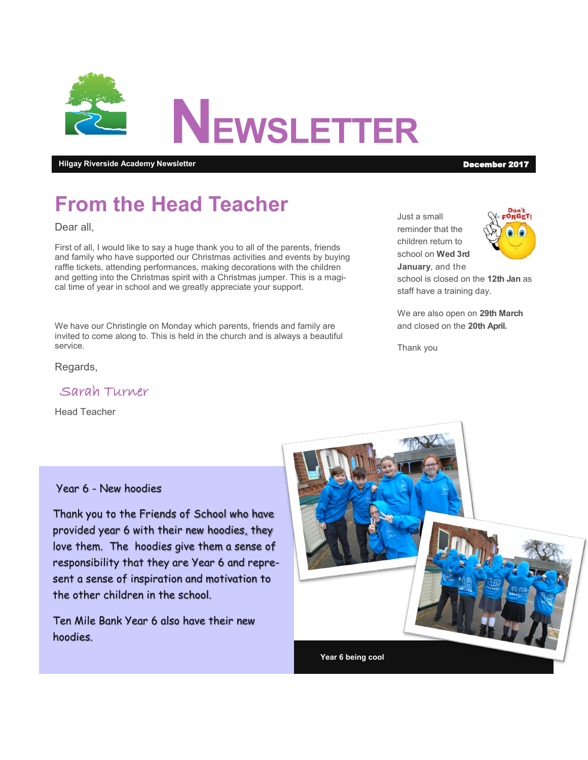

**Hilgay Riverside Academy Newsletter** December 2017

# **From the Head Teacher**

Dear all,

First of all, I would like to say a huge thank you to all of the parents, friends and family who have supported our Christmas activities and events by buying raffle tickets, attending performances, making decorations with the children and getting into the Christmas spirit with a Christmas jumper. This is a magical time of year in school and we greatly appreciate your support.

We have our Christingle on Monday which parents, friends and family are invited to come along to. This is held in the church and is always a beautiful service.

Regards,

Sarah Turner

Head Teacher

Year 6 - New hoodies

Thank you to the Friends of School who have provided year 6 with their new hoodies, they love them. The hoodies give them a sense of responsibility that they are Year 6 and represent a sense of inspiration and motivation to the other children in the school.

Ten Mile Bank Year 6 also have their new hoodies.



Just a small reminder that the children return to school on **Wed 3rd January**, and the



school is closed on the **12th Jan** as staff have a training day.

We are also open on **29th March**  and closed on the **20th April.**

Thank you